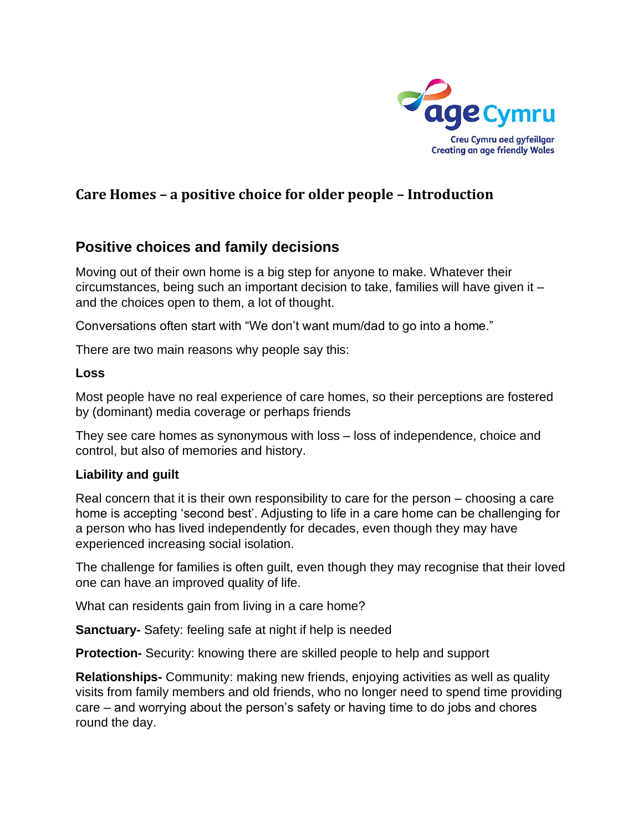

# **Care Homes – a positive choice for older people – Introduction**

# **Positive choices and family decisions**

Moving out of their own home is a big step for anyone to make. Whatever their circumstances, being such an important decision to take, families will have given it – and the choices open to them, a lot of thought.

Conversations often start with "We don't want mum/dad to go into a home."

There are two main reasons why people say this:

#### **Loss**

Most people have no real experience of care homes, so their perceptions are fostered by (dominant) media coverage or perhaps friends

They see care homes as synonymous with loss – loss of independence, choice and control, but also of memories and history.

### **Liability and guilt**

Real concern that it is their own responsibility to care for the person – choosing a care home is accepting 'second best'. Adjusting to life in a care home can be challenging for a person who has lived independently for decades, even though they may have experienced increasing social isolation.

The challenge for families is often guilt, even though they may recognise that their loved one can have an improved quality of life.

What can residents gain from living in a care home?

**Sanctuary-** Safety: feeling safe at night if help is needed

**Protection-** Security: knowing there are skilled people to help and support

**Relationships-** Community: making new friends, enjoying activities as well as quality visits from family members and old friends, who no longer need to spend time providing care – and worrying about the person's safety or having time to do jobs and chores round the day.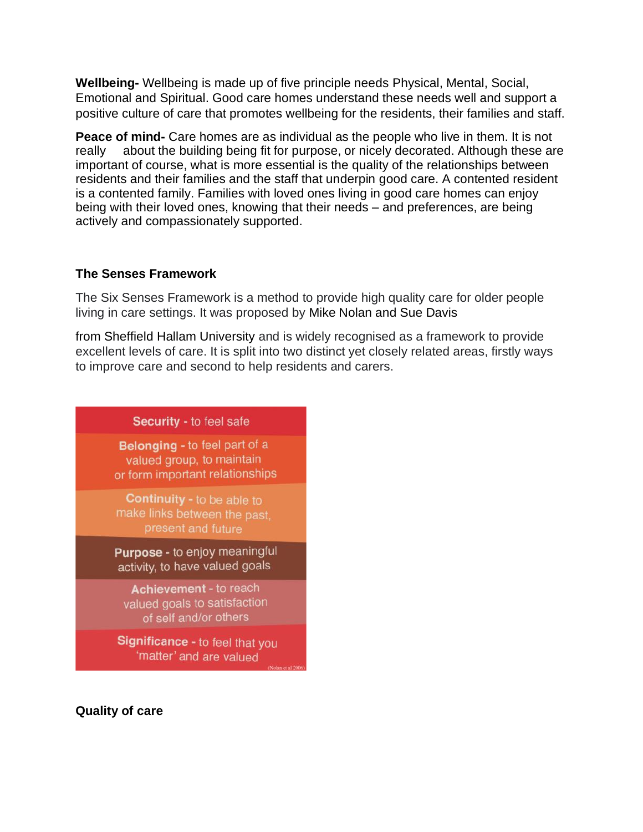**Wellbeing-** Wellbeing is made up of five principle needs Physical, Mental, Social, Emotional and Spiritual. Good care homes understand these needs well and support a positive culture of care that promotes wellbeing for the residents, their families and staff.

**Peace of mind-** Care homes are as individual as the people who live in them. It is not really about the building being fit for purpose, or nicely decorated. Although these are important of course, what is more essential is the quality of the relationships between residents and their families and the staff that underpin good care. A contented resident is a contented family. Families with loved ones living in good care homes can enjoy being with their loved ones, knowing that their needs – and preferences, are being actively and compassionately supported.

#### **The Senses Framework**

The Six Senses Framework is a method to provide high quality care for older people living in care settings. It was proposed by Mike Nolan and Sue Davis

from Sheffield Hallam University and is widely recognised as a framework to provide excellent levels of care. It is split into two distinct yet closely related areas, firstly ways to improve care and second to help residents and carers.

### Security - to feel safe

Belonging - to feel part of a valued group, to maintain or form important relationships

**Continuity - to be able to** make links between the past, present and future

**Purpose -** to enjoy meaningful activity, to have valued goals

Achievement - to reach valued goals to satisfaction of self and/or others

Significance - to feel that you 'matter' and are valued

**Quality of care**